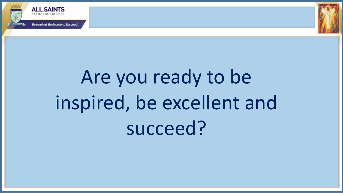



## Are you ready to be inspired, be excellent and succeed?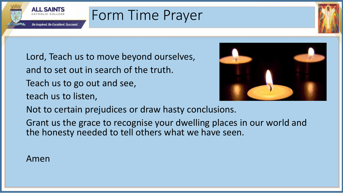

## Form Time Prayer

- Lord, Teach us to move beyond ourselves, and to set out in search of the truth. Teach us to go out and see,
- teach us to listen,



- Not to certain prejudices or draw hasty conclusions.
- Grant us the grace to recognise your dwelling places in our world and the honesty needed to tell others what we have seen.

## Amen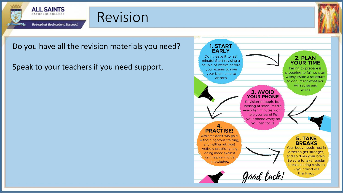

## Revision



Do you have all the revision materials you need?

Speak to your teachers if you need support.

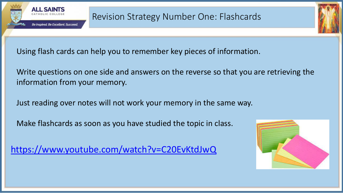

Using flash cards can help you to remember key pieces of information.

Write questions on one side and answers on the reverse so that you are retrieving the information from your memory.

Just reading over notes will not work your memory in the same way.

Make flashcards as soon as you have studied the topic in class.

<https://www.youtube.com/watch?v=C20EvKtdJwQ>

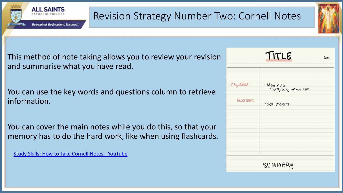

This method of note taking allows you to review your revision and summarise what you have read.

You can use the key words and questions column to retrieve information.

You can cover the main notes while you do this, so that your memory has to do the hard work, like when using flashcards.

[Study Skills: How to Take Cornell Notes -](https://www.youtube.com/watch?v=cLtM3pa9_SQ) YouTube